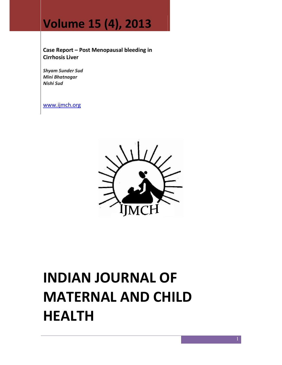## Volume 15 (4), 2013

Case Report – Post Menopausal bleeding in Cirrhosis Liver

Shyam Sunder Sud Mini Bhatnagar Nishi Sud

www.ijmch.org



# INDIAN JOURNAL OF MATERNAL AND CHILD HEALTH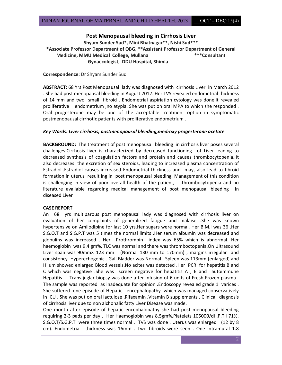### Post Menopausal bleeding in Cirrhosis Liver

Shyam Sunder Sud\*, Mini Bhatnagar\*\*, Nishi Sud\*\*\* \*Associate Professor Department of OBG, \*\*Assistant Professor Department of General Medicine, MMU Medical College, Mullana **\*\*\***Consultant Gynaecologist, DDU Hospital, Shimla

Correspondence: Dr Shyam Sunder Sud

ABSTRACT: 68 Yrs Post Menopausal lady was diagnosed with cirrhosis Liver in March 2012 . She had post menopausal bleeding in August 2012. Her TVS revealed endometrial thickness of 14 mm and two small fibroid . Endometrial aspiriation cytology was done,it revealed proliferative endometrium ,no atypia. She was put on oral MPA to which she responded . Oral progesterone may be one of the acceptable treatment option in symptomatic postmenopausal cirrhotic patients with proliferative endometrium .

#### Key Words: Liver cirrhosis, postmenopausal bleeding,medroxy progesterone acetate

**BACKGROUND:** The treatment of post menopausal bleeding in cirrhosis liver poses several challenges.Cirrhosis liver is characterized by decreased functioning of Liver leading to decreased synthesis of coagulation factors and protein and causes thrombocytopenia..It also decreases the excretion of sex steroids, leading to increased plasma concentration of Estradiol..Estradiol causes increased Endometrial thickness and may, also lead to fibroid formation in uterus result ing in post menopausal bleeding. Management of this condition is challenging in view of poor overall health of the patient, ,thrombocytopenia and no literature available regarding medical management of post menopausal bleeding in diseased Liver

#### CASE REPORT

An 68 yrs multiparous post menopausal lady was diagnosed with cirrhosis liver on evaluation of her complaints of generalized fatigue and malaise .She was known hypertensive on Amilodipine for last 10 yrs.Her sugars were normal. Her B.M.I was 36 .Her S.G.O.T and S.G.P.T was 5 times the normal limits .Her serum albumin was decreased and globulins was increased . Her Prothrombin index was 65% which is abnormal. Her haemoglobin was 9.4 gm%, TLC was normal and there was thromboctopenia.On Ultrasound Liver span was 90mmX 123 mm (Normal 130 mm to 170mm) , margins irregular and consistency Hyperechogenic . Gall Bladder was Normal . Spleen was 113mm (enlarged) and Hilum showed enlarged Blood vessels.No acites was detected .Her PCR for hepatitis B and C which was negative .She was screen negative for hepatitis A , E and autoimmune Hepatitis . Trans juglar biopsy was done after infusion of 6 units of Fresh Frozen plasma . The sample was reported as inadequate for opinion .Endoscopy revealed grade 1 varices . She suffered one episode of Hepatic encephalopathy which was managed conservatively in ICU. She was put on oral lactulose , Rifaxamin , Vitamin B supplements . Clinical diagnosis of cirrhosis liver due to non alchohalic fatty Liver Disease was made.

One month after episode of hepatic encephalopathy she had post menopausal bleeding requiring 2-3 pads per day . Her Haemoglobin was 8.5gm%,Platelets 105000/dl ,P.T.I 71%. S.G.O.T/S.G.P.T were three times normal . TVS was done . Uterus was enlarged (12 by 8 cm). Endometrial thickness was 16mm . Two fibroids were seen . One intramural 1.8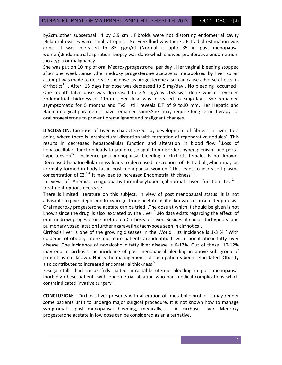by2cm.,other subserosal 4 by 3.9 cm . Fibroids were not distorting endometrial cavity .Billateral ovaries were small atrophic . No Free fluid was there . Estradiol estimation was done .It was increased to 85 pgm/dl (Normal is upto 35 in post menopausal women).Endometrial aspiration biopsy was done which showed proliferative endometrium ,no atypia or malignancy .

She was put on 10 mg of oral Medroxyprogestrone per day . Her vaginal bleeding stopped after one week .Since ,the medroxy progesterone acetate is metabolized by liver so an attempt was made to decrease the dose as progesterone also can cause adverse effects in cirrhotics<sup>1</sup> . After 15 days her dose was decreased to 5 mg/day . No bleeding occurred . One month later dose was decreased to 2.5 mg/day .TvS was done which revealed Endometrial thickness of 11mm . Her dose was increased to 5mg/day . She remained asymptomatic for 5 months and TVS still reveals E.T of 9 to10 mm. Her Hepatic and Haematological parameters have remained same.She may require long term therapy of oral progesterone to prevent premalignant and malignant changes.

DISCUSSION: Cirrhosis of Liver is characterized by development of fibrosis in Liver ,to a point, where there is architectural distortion with formation of regenerative nodules<sup>2</sup>. This results in decreased hepatocellular function and alteration in blood flow <sup>#</sup>.Loss of hepatocellular function leads to jaundice ,coagulation disorder, hypersplenism and portal hypertension<sup>2-3</sup>. Incidence post menopausal bleeding in cirrhotic females is not known. Decreased hepatocellular mass leads to decreased excretion of Estradiol ,which may be normally formed in body fat in post menopausal women  $3.$ This leads to increased plasma concentration of E2<sup>1-4</sup> It may lead to increased Endometrial thickness  $5-6$ .

In view of Anemia, coagulopathy,thrombocytopenia,abnormal Liver function test<sup>1</sup>, treatment options decrease.

There is limited literature on this subject. In view of post menopausal status ,it is not advisable to give depot medroxyprogestrone acetate as it is known to cause osteoporosis . Oral medroxy progesterone acetate can be tried .The dose at which it should be given is not known since the drug is also excreted by the Liver  $^1$ . No data exists regarding the effect of oral medroxy progesterone acetate on Cirrhosis of Liver. Besides it causes tachypnoea and pulmonary vosadilatation further aggravating tachypoea seen in cirrhotics $^1$ .

Cirrhosis liver is one of the growing diseases in the World . Its Incidence is 1-3  $%$  <sup>7</sup>. With epidemic of obesity ,more and more patients are identified with nonalcoholic fatty Liver disease .The incidence of nonalcoholic fatty liver disease is 6-12%. Out of these 10-12% may end in cirrhosis.The incidence of post menopausal bleeding in above sub group of patients is not known. Nor is the management of such patients been elucidated .Obesity also contributes to increased endometrial thickness<sup>5</sup>

 Osuga etall had successfully halted intractable uterine bleeding in post menopausal morbidly obese patient with endometrial ablation who had medical complications which contraindicated invasive surgery<sup>8</sup>.

CONCLUSION: Cirrhosis liver presents with alteration of metabolic profile. It may render some patients unfit to undergo major surgical procedure. It is not known how to manage symptomatic post menopausal bleeding, medically, in cirrhosis Liver. Medroxy progesterone acetate in low dose can be considered as an alternative.